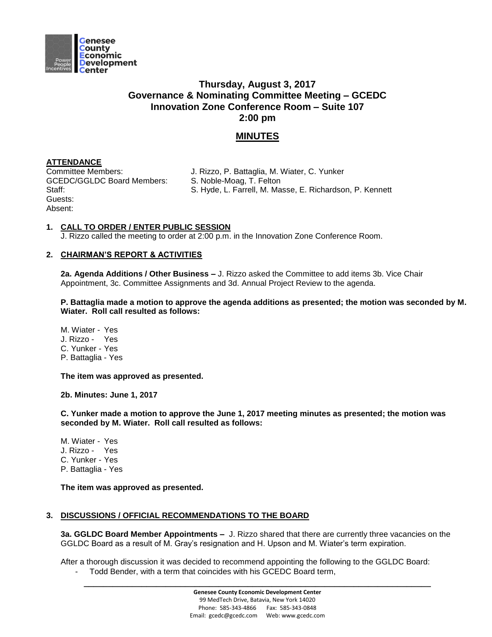

## **Thursday, August 3, 2017 Governance & Nominating Committee Meeting – GCEDC Innovation Zone Conference Room – Suite 107 2:00 pm**

# **MINUTES**

## **ATTENDANCE**

GCEDC/GGLDC Board Members: S. Noble-Moag, T. Felton Guests: Absent:

Committee Members: J. Rizzo, P. Battaglia, M. Wiater, C. Yunker

Staff: Staff: S. Hyde, L. Farrell, M. Masse, E. Richardson, P. Kennett

### **1. CALL TO ORDER / ENTER PUBLIC SESSION**

J. Rizzo called the meeting to order at 2:00 p.m. in the Innovation Zone Conference Room.

### **2. CHAIRMAN'S REPORT & ACTIVITIES**

**2a. Agenda Additions / Other Business –** J. Rizzo asked the Committee to add items 3b. Vice Chair Appointment, 3c. Committee Assignments and 3d. Annual Project Review to the agenda.

**P. Battaglia made a motion to approve the agenda additions as presented; the motion was seconded by M. Wiater. Roll call resulted as follows:**

M. Wiater - Yes J. Rizzo - Yes C. Yunker - Yes P. Battaglia - Yes

**The item was approved as presented.** 

**2b. Minutes: June 1, 2017**

**C. Yunker made a motion to approve the June 1, 2017 meeting minutes as presented; the motion was seconded by M. Wiater. Roll call resulted as follows:**

M. Wiater - Yes J. Rizzo - Yes C. Yunker - Yes P. Battaglia - Yes

**The item was approved as presented.** 

### **3. DISCUSSIONS / OFFICIAL RECOMMENDATIONS TO THE BOARD**

**3a. GGLDC Board Member Appointments –** J. Rizzo shared that there are currently three vacancies on the GGLDC Board as a result of M. Gray's resignation and H. Upson and M. Wiater's term expiration.

After a thorough discussion it was decided to recommend appointing the following to the GGLDC Board: - Todd Bender, with a term that coincides with his GCEDC Board term,

**\_\_\_\_\_\_\_\_\_\_\_\_\_\_\_\_\_\_\_\_\_\_\_\_\_\_\_\_\_\_\_\_\_\_\_\_\_\_\_\_\_\_\_\_\_\_\_\_\_\_\_\_\_\_\_\_\_\_\_\_\_\_\_\_\_\_\_\_\_\_\_\_**